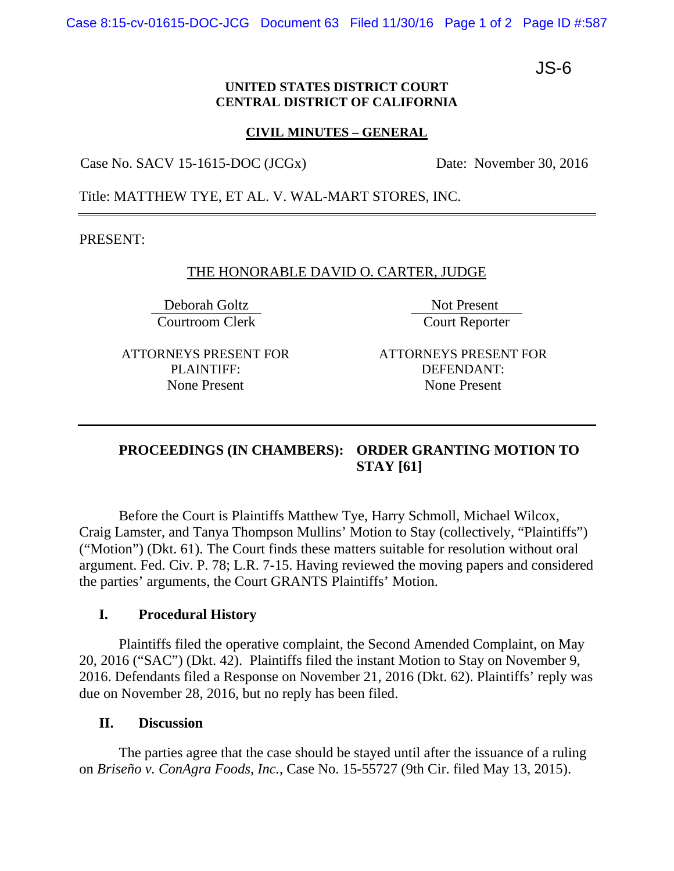Case 8:15-cv-01615-DOC-JCG Document 63 Filed 11/30/16 Page 1 of 2 Page ID #:587

JS-6

### **UNITED STATES DISTRICT COURT CENTRAL DISTRICT OF CALIFORNIA**

### **CIVIL MINUTES – GENERAL**

Case No. SACV 15-1615-DOC (JCGx) Date: November 30, 2016

Title: MATTHEW TYE, ET AL. V. WAL-MART STORES, INC.

PRESENT:

# THE HONORABLE DAVID O. CARTER, JUDGE

Deborah Goltz Not Present Courtroom Clerk Court Reporter

ATTORNEYS PRESENT FOR PLAINTIFF: None Present

ATTORNEYS PRESENT FOR DEFENDANT: None Present

# **PROCEEDINGS (IN CHAMBERS): ORDER GRANTING MOTION TO STAY [61]**

Before the Court is Plaintiffs Matthew Tye, Harry Schmoll, Michael Wilcox, Craig Lamster, and Tanya Thompson Mullins' Motion to Stay (collectively, "Plaintiffs") ("Motion") (Dkt. 61). The Court finds these matters suitable for resolution without oral argument. Fed. Civ. P. 78; L.R. 7-15. Having reviewed the moving papers and considered the parties' arguments, the Court GRANTS Plaintiffs' Motion.

# **I. Procedural History**

Plaintiffs filed the operative complaint, the Second Amended Complaint, on May 20, 2016 ("SAC") (Dkt. 42). Plaintiffs filed the instant Motion to Stay on November 9, 2016. Defendants filed a Response on November 21, 2016 (Dkt. 62). Plaintiffs' reply was due on November 28, 2016, but no reply has been filed.

# **II. Discussion**

The parties agree that the case should be stayed until after the issuance of a ruling on *Briseño v. ConAgra Foods, Inc.*, Case No. 15-55727 (9th Cir. filed May 13, 2015).